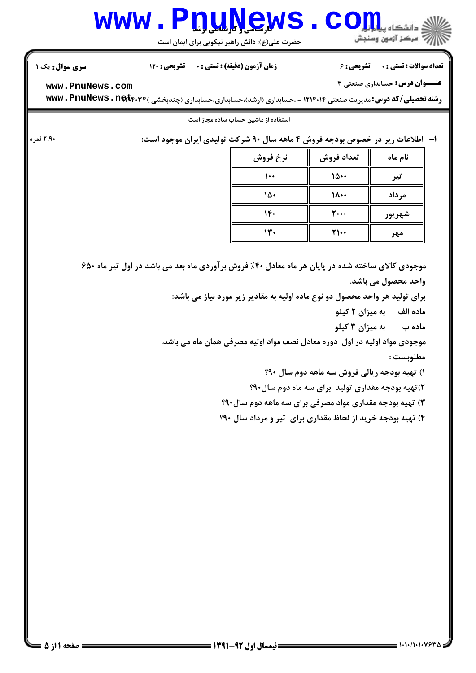| <b>عنـــوان درس:</b> حسابداری صنعتی ۳<br>www.PnuNews.com<br><b>رشته تحصیلی/کد درس:</b> مدیریت صنعتی ۱۲۱۴۰۱۴ - ،حسابداری (ارشد)،حسابداری،حسابداری (چندبخشی ) <b>www . PnuNews . net</b> f.<br>استفاده از ماشین حساب ساده مجاز است<br>ا-   اطلاعات زیر در خصوص بودجه فروش ۴ ماهه سال ۹۰ شرکت تولیدی ایران موجود است:<br>نرخ فروش<br>تعداد فروش<br>نام ماه<br>10<br>۱۰۰<br>تير<br>$\lambda \cdot \cdot$<br>مرداد<br>۱۵۰<br>$1 -$<br>$\mathbf{y}$<br>شهريور<br>14.<br>$\Upsilon\setminus\cdot\cdot$<br>مهر<br>موجودی کالای ساخته شده در پایان هر ماه معادل ۴۰٪ فروش برآوردی ماه بعد می باشد در اول تیر ماه ۶۵۰<br>واحد محصول می باشد.<br>برای تولید هر واحد محصول دو نوع ماده اولیه به مقادیر زیر مورد نیاز می باشد:<br>ماده الف به میزان ۲ کیلو<br>ماده ب       به میزان ۳ کیلو<br>موجودی مواد اولیه در اول ً دوره معادل نصف مواد اولیه مصرفی همان ماه می باشد.<br>مطلوبست :<br>۱) تهیه بودجه ریالی فروش سه ماهه دوم سال ۹۰؟<br>۲) تهیه بودجه مقداری تولید ًبرای سه ماه دوم سال۹۰؟<br>۳) تهیه بودجه مقداری مواد مصرفی برای سه ماهه دوم سال۹۰؟<br>۴) تهیه بودجه خرید از لحاظ مقداری برای تیر و مرداد سال ۹۰؟ | <b>سری سوال :</b> یک ۱ | تشریحی : ۱۲۰ | <b>زمان آزمون (دقیقه) : تستی : 0</b> | <b>تشریحی : ۶</b> | <b>تعداد سوالات : تستي : 0</b> |
|----------------------------------------------------------------------------------------------------------------------------------------------------------------------------------------------------------------------------------------------------------------------------------------------------------------------------------------------------------------------------------------------------------------------------------------------------------------------------------------------------------------------------------------------------------------------------------------------------------------------------------------------------------------------------------------------------------------------------------------------------------------------------------------------------------------------------------------------------------------------------------------------------------------------------------------------------------------------------------------------------------------------------------------------------------------------------------------------------------|------------------------|--------------|--------------------------------------|-------------------|--------------------------------|
|                                                                                                                                                                                                                                                                                                                                                                                                                                                                                                                                                                                                                                                                                                                                                                                                                                                                                                                                                                                                                                                                                                          |                        |              |                                      |                   |                                |
|                                                                                                                                                                                                                                                                                                                                                                                                                                                                                                                                                                                                                                                                                                                                                                                                                                                                                                                                                                                                                                                                                                          |                        |              |                                      |                   |                                |
|                                                                                                                                                                                                                                                                                                                                                                                                                                                                                                                                                                                                                                                                                                                                                                                                                                                                                                                                                                                                                                                                                                          |                        |              |                                      |                   |                                |
|                                                                                                                                                                                                                                                                                                                                                                                                                                                                                                                                                                                                                                                                                                                                                                                                                                                                                                                                                                                                                                                                                                          | ۲،۹۰ نمره              |              |                                      |                   |                                |
|                                                                                                                                                                                                                                                                                                                                                                                                                                                                                                                                                                                                                                                                                                                                                                                                                                                                                                                                                                                                                                                                                                          |                        |              |                                      |                   |                                |
|                                                                                                                                                                                                                                                                                                                                                                                                                                                                                                                                                                                                                                                                                                                                                                                                                                                                                                                                                                                                                                                                                                          |                        |              |                                      |                   |                                |
|                                                                                                                                                                                                                                                                                                                                                                                                                                                                                                                                                                                                                                                                                                                                                                                                                                                                                                                                                                                                                                                                                                          |                        |              |                                      |                   |                                |
|                                                                                                                                                                                                                                                                                                                                                                                                                                                                                                                                                                                                                                                                                                                                                                                                                                                                                                                                                                                                                                                                                                          |                        |              |                                      |                   |                                |
|                                                                                                                                                                                                                                                                                                                                                                                                                                                                                                                                                                                                                                                                                                                                                                                                                                                                                                                                                                                                                                                                                                          |                        |              |                                      |                   |                                |
|                                                                                                                                                                                                                                                                                                                                                                                                                                                                                                                                                                                                                                                                                                                                                                                                                                                                                                                                                                                                                                                                                                          |                        |              |                                      |                   |                                |
|                                                                                                                                                                                                                                                                                                                                                                                                                                                                                                                                                                                                                                                                                                                                                                                                                                                                                                                                                                                                                                                                                                          |                        |              |                                      |                   |                                |
|                                                                                                                                                                                                                                                                                                                                                                                                                                                                                                                                                                                                                                                                                                                                                                                                                                                                                                                                                                                                                                                                                                          |                        |              |                                      |                   |                                |
|                                                                                                                                                                                                                                                                                                                                                                                                                                                                                                                                                                                                                                                                                                                                                                                                                                                                                                                                                                                                                                                                                                          |                        |              |                                      |                   |                                |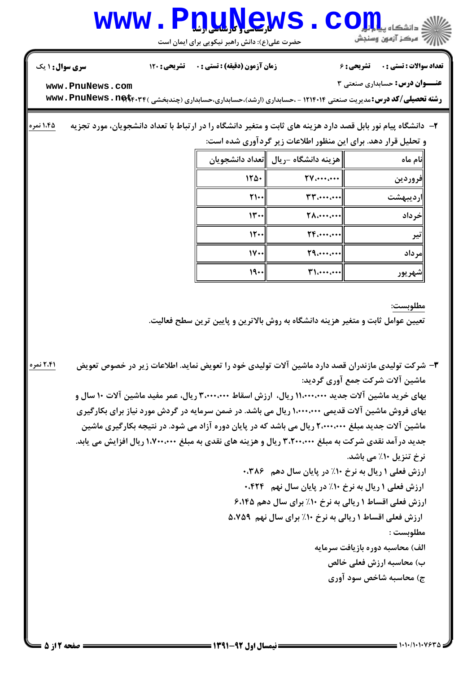

مطلوبست :

الف) محاسبه دوره بازیافت سرمایه

ب) محاسبه ارزش فعلى خالص ج) محاسبه شاخص سود آوري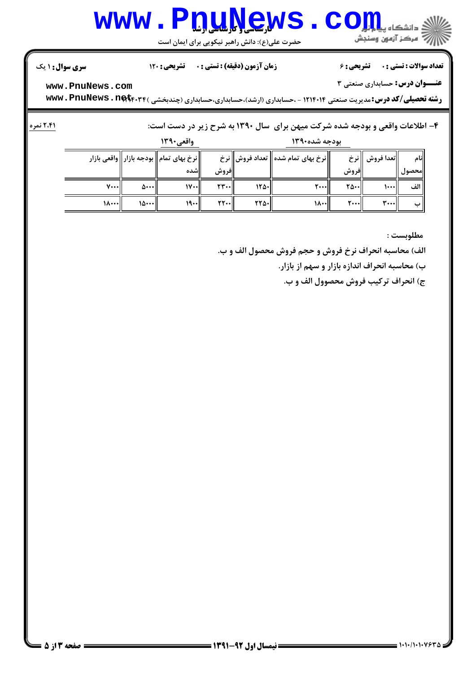## www.P<u>nuNe</u>ws.com

حضرت علي(ع): دانش راهبر نيكويي براي ايمان است

نعداد سوالات : تستي : · تشريحي : ۶ زمان آزمون (دقيقه) : تستي : • تشريحي : 120

**عنـــوان درس:** حسابداری صنعتی ۳

**[www.PnuNews.com](http://pnunews.com)**

ر**شته تحصیلی/کد درس:**مدیریت صنعتی ۱۲۱۴۰۱۴ - ،حسابداری (ارشد)،حسابداری،حسابداری (چندبخشی ) **www . PnuNews . net**r.۳۴

## :

 ; m/ 6 &%?( > WH+ 
B/ D#/ 67 4 `4 <= D \*,.& -4

و مدد شده ۱۳۹۰ میلی است.<br>وی بودجه شده ۱۳۹۰

|       |             | ر - ی · · ·                             |                                        |             | $\cdots$ $\cdots$ $\cdots$ $\cdots$ |        |                  |                     |
|-------|-------------|-----------------------------------------|----------------------------------------|-------------|-------------------------------------|--------|------------------|---------------------|
|       |             | نرخ بهای تمام  بودجه بازار  واقعی بازار |                                        |             | نرخ بهای تمام شده   تعداد فروش  نرخ |        | تعدا فروش    نرخ | نام                 |
|       |             | اشده                                    | فروش                                   |             |                                     | فروش   |                  | محصول <sub> ،</sub> |
| v…l   | ان ۵۰۰۰     | $ V \cdots $                            | $\mathsf{r}\mathsf{r}\cdots\mathsf{r}$ | $ Y\Delta $ | $\mathsf{r}\cdots\mathsf{r}$        | ا⊷۵۰   | 1+++1            | الف                 |
| السدا | ا۰۰۰۱۱ ۱۵۰۰ | $19 - 1$                                | $\mathsf{Y}\mathsf{Y}\cdots\mathsf{U}$ | $rr\omega$  | ا۱۸۰۰                               | ا۰۰۰ ک | r                |                     |

مطلوبست :

الف) محاسبه انحراف نرخ فروش و حجم فروش محصول الف و ب.

ب) محاسبه انحراف اندازه بازار و سهم از بازار.

ج) انحراف تركيب فروش محصوول الف و ب.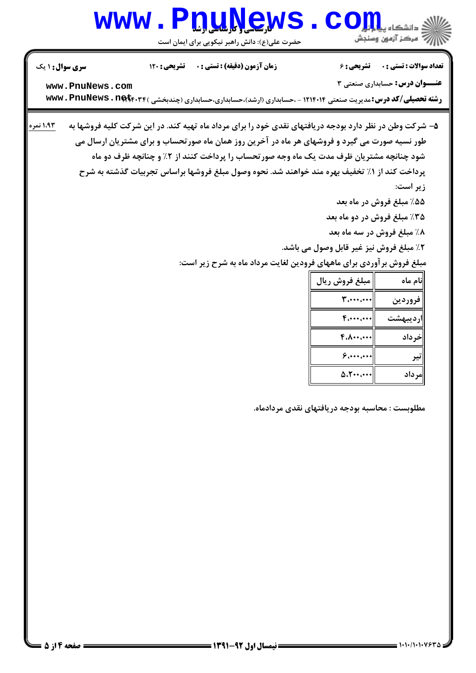## www.P<u>nuNe</u>ws.com

حضرت علي(ع): دانش راهبر نيكويي براي ايمان است

| <b>سری سوال : ۱ یک</b> | <b>تشریحی : 120</b> | زمان آزمون (دقيقه) : تستى : 0                                                                                                                                                                                                                                                                                                                                                                                                                                               |                                                                                                                            | <b>تعداد سوالات : تستی : . ۔ ۔ تشریحی : 6</b>                                                                                                         |
|------------------------|---------------------|-----------------------------------------------------------------------------------------------------------------------------------------------------------------------------------------------------------------------------------------------------------------------------------------------------------------------------------------------------------------------------------------------------------------------------------------------------------------------------|----------------------------------------------------------------------------------------------------------------------------|-------------------------------------------------------------------------------------------------------------------------------------------------------|
| www.PnuNews.com        |                     |                                                                                                                                                                                                                                                                                                                                                                                                                                                                             |                                                                                                                            | <b>عنـــوان درس:</b> حسابداری صنعتی ۳                                                                                                                 |
|                        |                     | <b>رشته تحصیلی/کد درس:</b> مدیریت صنعتی ۱۲۱۴۰۱۴ - ،حسابداری (ارشد)،حسابداری،حسابداری (چندبخشی ) <b>www . PnuNews . net</b> f.                                                                                                                                                                                                                                                                                                                                               |                                                                                                                            |                                                                                                                                                       |
| ۱.۹۳ نمره              |                     | ۵– شرکت وطن در نظر دارد بودجه دریافتهای نقدی خود را برای مرداد ماه تهیه کند. در این شرکت کلیه فروشها به<br>طور نسیه صورت می گیرد و فروشهای هر ماه در آخرین روز همان ماه صورتحساب و برای مشتریان ارسال می<br>شود چنانچه مشتریان ظرف مدت یک ماه وجه صورتحساب را پرداخت کنند از ۲٪ و چنانچه ظرف دو ماه<br>پرداخت کند از ۱٪ تخفیف بهره مند خواهند شد. نحوه وصول مبلغ فروشها براساس تجربیات گذشته به شرح<br>مبلغ فروش برآوردی برای ماههای فرودین لغایت مرداد ماه به شرح زیر است: | ٢٪ مبلغ فروش نيز غير قابل وصول مي باشد.<br>مبلغ فروش ريال<br>$\mathbf{y}$<br>$F_{i} \cdots$<br>$F.A \cdots$<br>۱۰۰، ۱۰۰، ۶ | زير است:<br>۵۵٪ مبلغ فروش در ماه بعد<br>۳۵٪ مبلغ فروش در دو ماه بعد<br>٨٪ مبلغ فروش در سه ماه بعد<br> نام ماه<br>فروردين<br>ارديبهشت<br>أخرداد<br>تیر |
|                        |                     |                                                                                                                                                                                                                                                                                                                                                                                                                                                                             | $\Delta$ . T $\cdots$ $\cdots$                                                                                             | مرداد                                                                                                                                                 |
|                        |                     |                                                                                                                                                                                                                                                                                                                                                                                                                                                                             | مطلوبست : محاسبه بودجه دریافتهای نقدی مردادماه.                                                                            |                                                                                                                                                       |